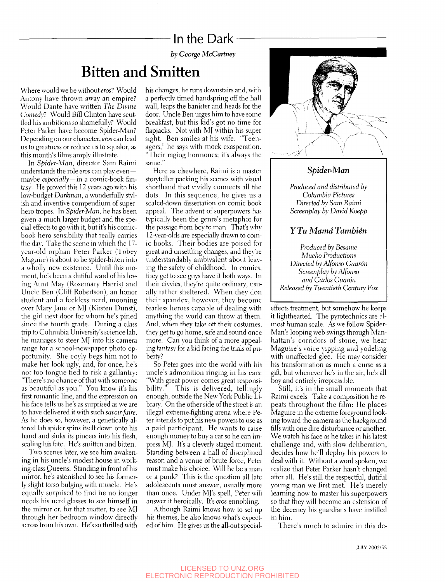### In the Dark-

*by George McCartney* 

# Bitten and Smitten

Where would we be without eros? Would Antony have thrown away an empire? Would Dante have written *The Divine Comedy?* Would Bill Clinton have scutded his ambitions so shamefully? Would Peter Parker have become Spider-Man? Depending on our character, *eros* can lead us to greatness or reduce us to squalor, as this month's films amply illustrate.

In *Spider-Man,* director Sam Raimi understands the role *eros* can play even maybe *especially—in* a comic-book fantasy. He proved this 12 years ago with his low-budget *Darkman,* a wonderfully stylish and inventive compendium of superhero tropes. In *Spider-Man,* he has been given a much larger budget and the special effects to go with it, but it's his comicbook hero sensibilitv that really carries the day. Take the scene in which the 17 vear-old orphan Peter Parker (Tobey Maguire) is about to be spider-bitten into a wholly new existence. Until this moment, he's been a dutiful ward of his loving Aunt May (Rosemary Harris) and Uncle Ben (Cliff Robertson), an honor student and a feckless nerd, mooning over Mary Jane or MJ (Kirsten Dunst), the girl next door for whom he's pined since the fourth grade. During a class trip to Columbia University's science lab, he manages to steer MJ into his camera range for a school-newspaper photo opportunity. She coyly begs him not to make her look ugly, and, for once, he's not too tongue-tied to risk a gallantry: "There's no chance of that with someone as beautiful as you." You know it's his first romantic line, and the expression on his face tells us he's as surprised as we are to have delivered it with such *savoir-faire.*  As he does so, however, a genetically altered lab spider spins itself down onto his hand and sinks its pincers into his flesh, sealing his fate. He's smitten and bitten.

Two scenes later, we see him awakening in his uncle's modest house in working-class Queens. Standing in front of his mirror, he's astonished to see his formerly slight torso bulging with muscle. He's equally surprised to find he no longer needs his nerd glasses to see himself in the mirror or, for that matter, to see MJ through her bedroom window directly across from his own. He's so thrilled with his changes, he runs downstairs and, with a perfectly timed handspring off the hall wall, leaps the banister and heads for the door. Uncle Ben urges him to have some breakfast, but this kid's got no time for flapjacks. Not with MJ within his super sight. Ben smiles at his wife. "Teenagers," he says with mock exasperation. "Their raging hormones; it's always the same."

Here as elsewhere, Raimi is a master storyteller packing his scenes with visual shorthand that vividly connects all the dots. In this sequence, he gives us a scaled-down dissertation on comic-book appeal. The advent of superpowers has typically been the genre's metaphor for the passage from boy to man. That's why 12-vear-olds are especially drawn to comic books. Their bodies are poised for great and unsettling changes, and they're understandably ambivalent about leaving the safety of childhood. In comics, they get to see guys have it both ways. In their civvies, they're quite ordinary, usually rather sheltered. When they don their spandex, however, they become fearless heroes capable of dealing with anything the world can throw at them. And, when they take off their costumes, they get to go home, safe and sound once more. Can you think of a more appealing fantasy for a kid facing the trials of puberty?

So Peter goes into the world with his uncle's admonition ringing in his ears: "With great power comes great responsibility." This is delivered, tellingly enough, outside the New York Public Library. On the other side of the street is an illegal extreme-fighting arena where Peter intends to put his new powers to use as a paid participant. He wants to raise enough money to buy a car so he can impress MJ. It's a cleverly staged moment. Standing between a hall of disciplined reason and a venue of brute force, Peter must make his choice. Will he be a man or a punk? This is the question all late adolescents must answer, usually more than once. Under MJ's spell, Peter will answer it heroically. It's eros ennobling.

Although Raimi knows how to set up his themes, he also knows what's expected of him. He gives us the all-out special-



#### *Spider-Man*

*Produced and distributed by Columbia Pictures Directed by Sam Raimi Screenplay by David Koepp* 

### Y *Tu Mama Tambien*

*Produced by Besame Mucho Productions Directed by Alfonso Cuaron Screenplay by Alfonso and Carlos Cuaron Released by Twentieth Century Fox* 

effects treatment, but somehow he keeps it lighthearted. The pyrotechnics are almost human scale. As we follow Spider-Man's looping web swings through Manhattan's corridors of stone, we hear Maguire's voice yipping and yodeling with unaffected glee. He may consider his transformation as much a curse as a gift, but whenever he's in the air, he's all boy and entirely irrepressible.

Still, it's in the small moments that Raimi excels. Take a composition he repeats throughout the film: He places Maguire in the extreme foreground looking toward the camera as the background fills with one dire disturbance or another. We watch his face as he takes in his latest challenge and, with slow deliberation, decides how he'll deploy his powers to deal with it. Without a word spoken, we realize that Peter Parker hasn't changed after all. He's still the respectful, dutiful young man we first met. He's merely learning how to master his superpowers so that they will become an extension of the decency his guardians have instilled in him.

There's much to admire in this de-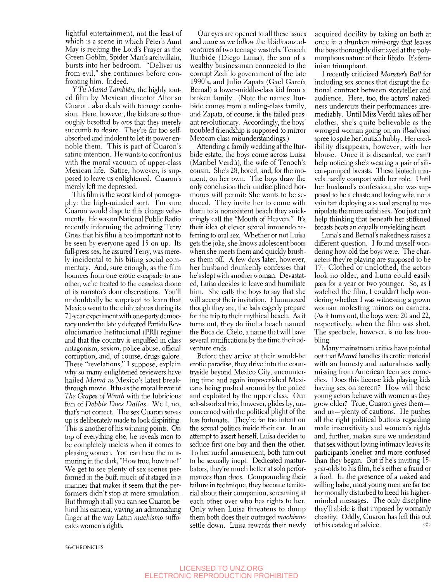lightful entertainment, not the least of which is a scene in which Peter's Aunt May is reciting the Lord's Prayer as the Green Goblin, Spider-Man's archvillain, bursts into her bedroom. "Deliver us from evil," she continues before confronting him. Indeed.

y *Tu Mama Tambien,* the highly touted film by Mexican director Alfonso Cuaron, also deals with teenage confusion. Here, however, the kids are so thoroughly besotted by eros that they merely succumb to desire. They're far too selfabsorbed and indolent to let its power ennoble them. This is part of Cuaron's satiric intention. He wants to confront us with the moral vacuum of upper-class Mexican life. Satire, however, is supposed to leave us enlightened. Cuaron's merely left me depressed.

This film is the worst kind of pornography: the high-minded sort. I'm sure Cuaron would dispute this charge vehemently. He was on National Public Radio recently informing the admiring Terry Gross that his film is too important not to be seen by everyone aged 15 on up. Its full-press sex, he assured Terry, was merely incidental to his biting social commentary. And, sure enough, as the film bounces from one erotic escapade to another, we're treated to the ceaseless drone of its narrator's dour observations. You'll undoubtedly be surprised to learn that Mexico went to the chihuahuas during its 71-year experiment with one-party democracy under the lately defeated Partido Revolucionarico Institucional (PRI) regime and that the country is engulfed in class antagonism, sexism, police abuse, official corruption, and, of course, drugs galore. These "revelations," I suppose, explain why so many enlightened reviewers have hailed *Mama* as Mexico's latest breakthrough movie. It fuses the moral fervor of *The Grapes of Wrath* with the lubricious fun of *Debbie Does Dallas.* Well, no, that's not correct. The sex Cuaron serves up is deliberately made to look dispiriting. This is another of his winning points. On top of everything else, he reveals men to be completely useless when it comes to pleasing women. You can hear the murmuring in the dark, "How true, how true!" We get to see plenty of sex scenes performed in the buff, much of it staged in a manner that makes it seem that the performers didn't stop at mere simulation. But through it all you can see Cuaron behind his camera, waving an admonishing finger at the way Latin *machismo* suffocates women's rights.

Our eyes are opened to all these issues and more as we follow the libidinous adventures of two teenage wastrels, Tenoch Iturbide (Diego Luna), the son of a wealthy businessman connected to the corrupt Zedillo government of the late 1990's, and Julio Zapata (Gael Garcia Bernal) a lower-middle-class kid from a broken family. (Note the names: Iturbide comes from a ruling-class family, and Zapata, of course, is the failed peasant revolutionary. Accordingly, the boys' troubled friendship is supposed to mirror Mexican class misunderstandings.)

Attending a family wedding at the Iturbide estate, the boys come across Luisa (Maribel Verdú), the wife of Tenoch's cousin. She's 28, bored, and, for the moment, on her own. The boys draw the only conclusion their undisciplined hormones will permit: She wants to be seduced. They invite her to come with them to a nonexistent beach they snickeringly call the "Mouth of Heaven." It's their idea of clever sexual innuendo referring to oral sex. Whether or not Luisa gets the joke, she knows adolescent boors when she meets them and quickly brushes them off. A few days later, however, her husband drunkenly confesses that he's slept with another woman. Devastated, Luisa decides to leave and humiliate him. She calls the boys to say that she will accept their invitation. Flummoxed though they are, the lads eagerly prepare for the trip to their mythical beach. As it turns out, they do find a beach named the Boca del Cielo, a name that will have several ramifications by the time their adventure ends.

Before they arrive at their would-be erotic paradise, they drive into the countryside beyond Mexico City, encountering time and again impoverished Mexicans being pushed around by the police and exploited by the upper class. Our self-absorbed trio, however, glides by, unconcerned with the political plight of the less fortunate. They're far too intent on the sexual politics inside their car. In an attempt to assert herself, Luisa decides to seduce first one boy and then the other. To her rueful amusement, both turn out to be sexually inept. Dedicated masturbators, they're much better at solo performances than duos. Compounding their failure in technique, they become territorial about their companion, screaming at each other over who has rights to her. Only when Luisa threatens to dump them both does their outraged *machismo*  settle down. Luisa rewards their newly acquired docility by taking on both at once in a drunken mini-orgy that leaves the boys thoroughly dismayed at the polymorphous nature of their libido. It's feminism triumphant.

I recently criticized *Monster's Ball* for including sex scenes that disrupt the fictional contract between storyteller and audience. Here, too, the actors' nakedness undercuts their performances irremediably. Until Miss Verdú takes off her clothes, she's quite believable as the wronged woman going on an ill-advised spree to spite her loutish hubby. Her credibility disappears, however, with her blouse. Once it is discarded, we can't help noticing she's wearing a pair of silicon-pumped breasts. These biotech marvels hardly comport with her role. Until her husband's confession, she was supposed to be a chaste and loving wife, not a vain tart deploying a sexual arsenal to manipulate the more oafish sex. You just can't help thinking that beneath her stiffened breasts beats an equally unyielding heart.

Luna's and Bernal's nakedness raises a different question. I found myself wondering how old the boys were. The characters they're playing are supposed to be 17. Clothed or unclothed, the actors look no older, and Luna could easily pass for a year or two younger. So, as I watched the film, I couldn't help wondering whether I was witnessing a grown woman molesting minors on camera. (As it turns out, the boys were 20 and 22, respectively, when the film was shot. The spectacle, however, is no less troubling.

Many mainstream critics have pointed out that *Mama* handles its erotic material with an honesty and naturalness sadly missing from American teen sex comedies. Does this license kids playing kids having sex on screen? How will these young actors behave with women as they grow older? True, Cuaron gives them and us—plenty of cautions. He pushes all the right political buttons regarding male insensitivity and women's rights and, further, makes sure we understand that sex without loving intimacy leaves its participants lonelier and more confused than they began. But if he's inviting 15 year-olds to his film, he's either a fraud or a fool. In the presence of a naked and willing babe, most young men are far too hormonally disturbed to heed his higherminded messages. The only discipline they'll abide is that imposed by womanly chastity. Oddly, Cuaron has left this out of his catalog of advice.  $\bullet$ 

56/CHRONiCLES

#### LICENSED TO UNZ.ORG ELECTRONIC REPRODUCTION PROHIBITED